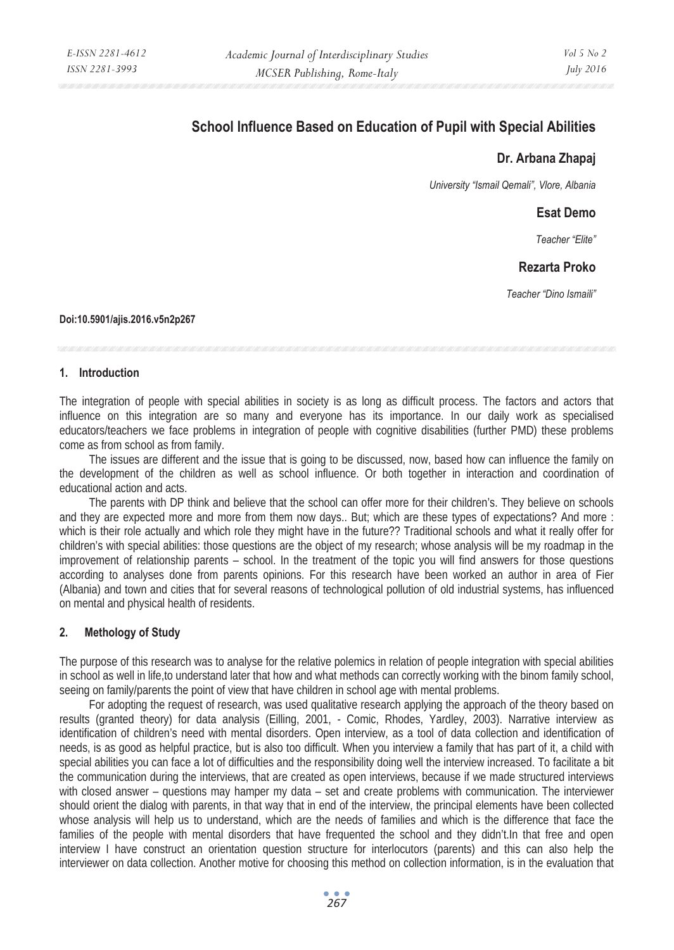# **School Influence Based on Education of Pupil with Special Abilities**

## **Dr. Arbana Zhapaj**

*University "Ismail Qemali", Vlore, Albania* 

## **Esat Demo**

*Teacher "Elite"* 

## **Rezarta Proko**

*Teacher "Dino Ismaili"* 

#### **Doi:10.5901/ajis.2016.v5n2p267**

#### **1. Introduction**

The integration of people with special abilities in society is as long as difficult process. The factors and actors that influence on this integration are so many and everyone has its importance. In our daily work as specialised educators/teachers we face problems in integration of people with cognitive disabilities (further PMD) these problems come as from school as from family.

The issues are different and the issue that is going to be discussed, now, based how can influence the family on the development of the children as well as school influence. Or both together in interaction and coordination of educational action and acts.

The parents with DP think and believe that the school can offer more for their children's. They believe on schools and they are expected more and more from them now days.. But; which are these types of expectations? And more : which is their role actually and which role they might have in the future?? Traditional schools and what it really offer for children's with special abilities: those questions are the object of my research; whose analysis will be my roadmap in the improvement of relationship parents – school. In the treatment of the topic you will find answers for those questions according to analyses done from parents opinions. For this research have been worked an author in area of Fier (Albania) and town and cities that for several reasons of technological pollution of old industrial systems, has influenced on mental and physical health of residents.

## **2. Methology of Study**

The purpose of this research was to analyse for the relative polemics in relation of people integration with special abilities in school as well in life,to understand later that how and what methods can correctly working with the binom family school, seeing on family/parents the point of view that have children in school age with mental problems.

For adopting the request of research, was used qualitative research applying the approach of the theory based on results (granted theory) for data analysis (Eilling, 2001, - Comic, Rhodes, Yardley, 2003). Narrative interview as identification of children's need with mental disorders. Open interview, as a tool of data collection and identification of needs, is as good as helpful practice, but is also too difficult. When you interview a family that has part of it, a child with special abilities you can face a lot of difficulties and the responsibility doing well the interview increased. To facilitate a bit the communication during the interviews, that are created as open interviews, because if we made structured interviews with closed answer – questions may hamper my data – set and create problems with communication. The interviewer should orient the dialog with parents, in that way that in end of the interview, the principal elements have been collected whose analysis will help us to understand, which are the needs of families and which is the difference that face the families of the people with mental disorders that have frequented the school and they didn't.In that free and open interview I have construct an orientation question structure for interlocutors (parents) and this can also help the interviewer on data collection. Another motive for choosing this method on collection information, is in the evaluation that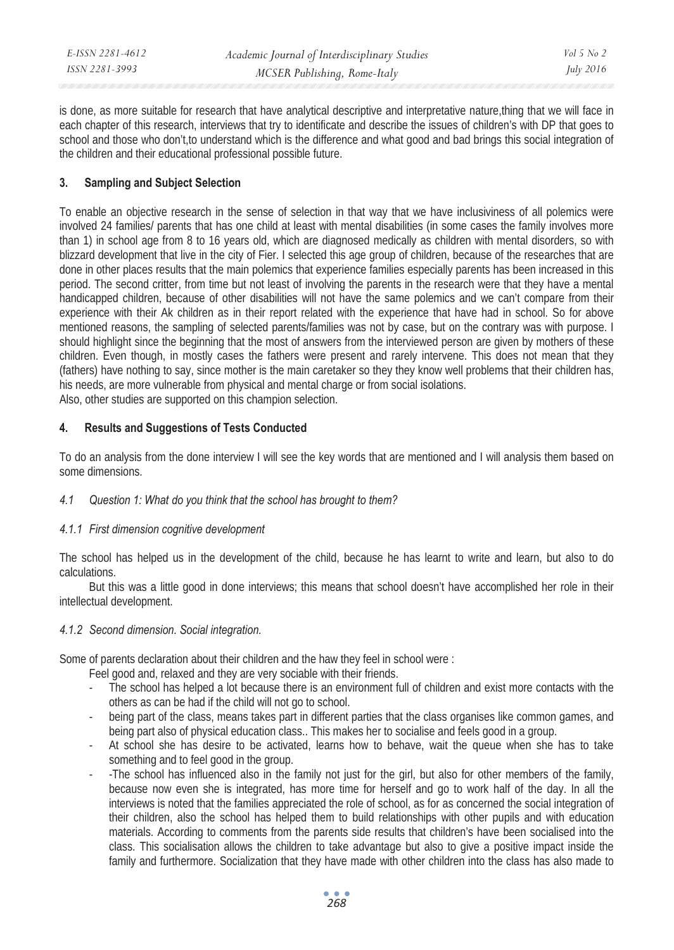| E-ISSN 2281-4612 | Academic Journal of Interdisciplinary Studies | Vol 5 No 2       |
|------------------|-----------------------------------------------|------------------|
| ISSN 2281-3993   | MCSER Publishing, Rome-Italy                  | <i>July 2016</i> |
|                  |                                               |                  |

is done, as more suitable for research that have analytical descriptive and interpretative nature,thing that we will face in each chapter of this research, interviews that try to identificate and describe the issues of children's with DP that goes to school and those who don't,to understand which is the difference and what good and bad brings this social integration of the children and their educational professional possible future.

## **3. Sampling and Subject Selection**

To enable an objective research in the sense of selection in that way that we have inclusiviness of all polemics were involved 24 families/ parents that has one child at least with mental disabilities (in some cases the family involves more than 1) in school age from 8 to 16 years old, which are diagnosed medically as children with mental disorders, so with blizzard development that live in the city of Fier. I selected this age group of children, because of the researches that are done in other places results that the main polemics that experience families especially parents has been increased in this period. The second critter, from time but not least of involving the parents in the research were that they have a mental handicapped children, because of other disabilities will not have the same polemics and we can't compare from their experience with their Ak children as in their report related with the experience that have had in school. So for above mentioned reasons, the sampling of selected parents/families was not by case, but on the contrary was with purpose. I should highlight since the beginning that the most of answers from the interviewed person are given by mothers of these children. Even though, in mostly cases the fathers were present and rarely intervene. This does not mean that they (fathers) have nothing to say, since mother is the main caretaker so they they know well problems that their children has, his needs, are more vulnerable from physical and mental charge or from social isolations.

Also, other studies are supported on this champion selection.

## **4. Results and Suggestions of Tests Conducted**

To do an analysis from the done interview I will see the key words that are mentioned and I will analysis them based on some dimensions.

#### *4.1 Question 1: What do you think that the school has brought to them?*

#### *4.1.1 First dimension cognitive development*

The school has helped us in the development of the child, because he has learnt to write and learn, but also to do calculations.

But this was a little good in done interviews; this means that school doesn't have accomplished her role in their intellectual development.

#### *4.1.2 Second dimension. Social integration.*

Some of parents declaration about their children and the haw they feel in school were :

Feel good and, relaxed and they are very sociable with their friends.

- The school has helped a lot because there is an environment full of children and exist more contacts with the others as can be had if the child will not go to school.
- being part of the class, means takes part in different parties that the class organises like common games, and being part also of physical education class.. This makes her to socialise and feels good in a group.
- At school she has desire to be activated, learns how to behave, wait the queue when she has to take something and to feel good in the group.
- -The school has influenced also in the family not just for the girl, but also for other members of the family, because now even she is integrated, has more time for herself and go to work half of the day. In all the interviews is noted that the families appreciated the role of school, as for as concerned the social integration of their children, also the school has helped them to build relationships with other pupils and with education materials. According to comments from the parents side results that children's have been socialised into the class. This socialisation allows the children to take advantage but also to give a positive impact inside the family and furthermore. Socialization that they have made with other children into the class has also made to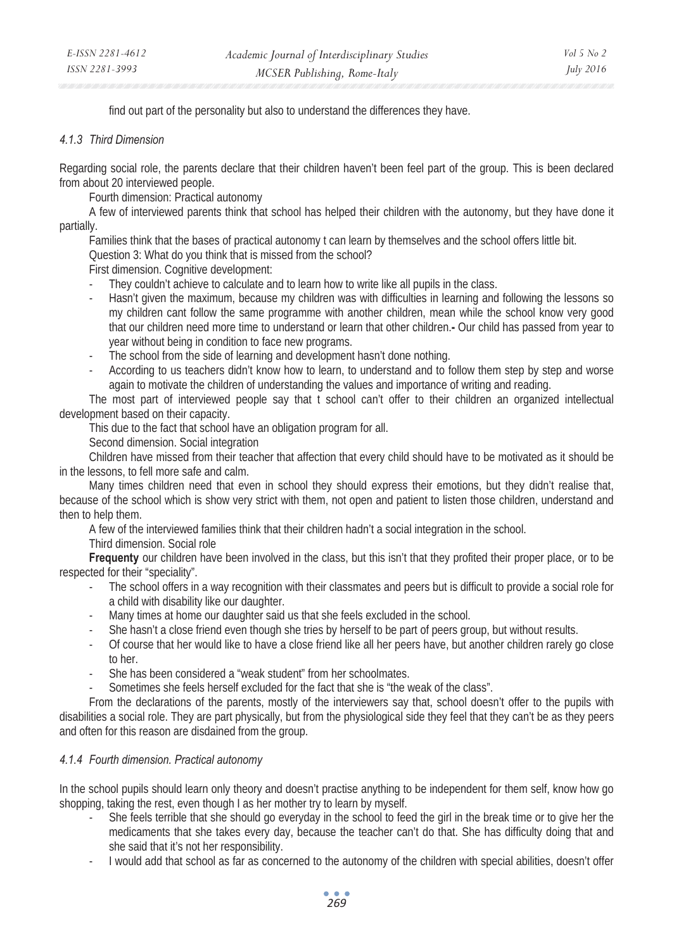find out part of the personality but also to understand the differences they have.

#### *4.1.3 Third Dimension*

Regarding social role, the parents declare that their children haven't been feel part of the group. This is been declared from about 20 interviewed people.

Fourth dimension: Practical autonomy

A few of interviewed parents think that school has helped their children with the autonomy, but they have done it partially.

Families think that the bases of practical autonomy t can learn by themselves and the school offers little bit.

Question 3: What do you think that is missed from the school?

First dimension. Cognitive development:

- They couldn't achieve to calculate and to learn how to write like all pupils in the class.
- Hasn't given the maximum, because my children was with difficulties in learning and following the lessons so my children cant follow the same programme with another children, mean while the school know very good that our children need more time to understand or learn that other children.**-** Our child has passed from year to year without being in condition to face new programs.
- The school from the side of learning and development hasn't done nothing.
- According to us teachers didn't know how to learn, to understand and to follow them step by step and worse again to motivate the children of understanding the values and importance of writing and reading.

The most part of interviewed people say that t school can't offer to their children an organized intellectual development based on their capacity.

This due to the fact that school have an obligation program for all.

Second dimension. Social integration

Children have missed from their teacher that affection that every child should have to be motivated as it should be in the lessons, to fell more safe and calm.

Many times children need that even in school they should express their emotions, but they didn't realise that, because of the school which is show very strict with them, not open and patient to listen those children, understand and then to help them.

A few of the interviewed families think that their children hadn't a social integration in the school.

Third dimension. Social role

**Frequenty** our children have been involved in the class, but this isn't that they profited their proper place, or to be respected for their "speciality".

- The school offers in a way recognition with their classmates and peers but is difficult to provide a social role for a child with disability like our daughter.
- Many times at home our daughter said us that she feels excluded in the school.
- She hasn't a close friend even though she tries by herself to be part of peers group, but without results.
- Of course that her would like to have a close friend like all her peers have, but another children rarely go close to her.
- She has been considered a "weak student" from her schoolmates.
- Sometimes she feels herself excluded for the fact that she is "the weak of the class".

From the declarations of the parents, mostly of the interviewers say that, school doesn't offer to the pupils with disabilities a social role. They are part physically, but from the physiological side they feel that they can't be as they peers and often for this reason are disdained from the group.

## *4.1.4 Fourth dimension. Practical autonomy*

In the school pupils should learn only theory and doesn't practise anything to be independent for them self, know how go shopping, taking the rest, even though I as her mother try to learn by myself.

- She feels terrible that she should go everyday in the school to feed the girl in the break time or to give her the medicaments that she takes every day, because the teacher can't do that. She has difficulty doing that and she said that it's not her responsibility.
- I would add that school as far as concerned to the autonomy of the children with special abilities, doesn't offer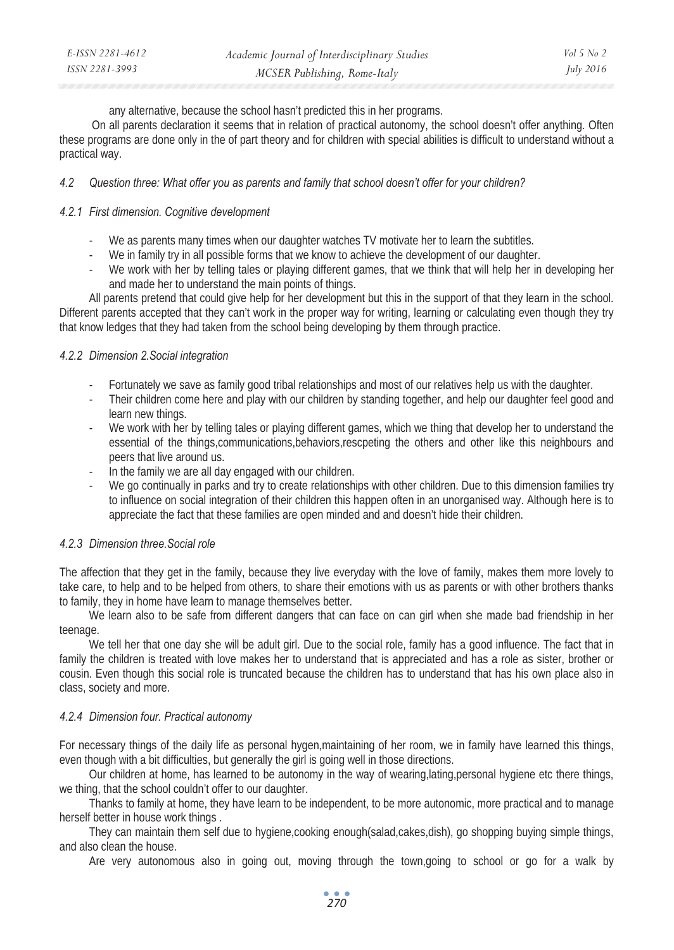| E-ISSN 2281-4612 | Academic Journal of Interdisciplinary Studies | Vol 5 No 2       |
|------------------|-----------------------------------------------|------------------|
| ISSN 2281-3993   | MCSER Publishing, Rome-Italy                  | <i>July 2016</i> |

any alternative, because the school hasn't predicted this in her programs.

 On all parents declaration it seems that in relation of practical autonomy, the school doesn't offer anything. Often these programs are done only in the of part theory and for children with special abilities is difficult to understand without a practical way.

#### *4.2 Question three: What offer you as parents and family that school doesn't offer for your children?*

#### *4.2.1 First dimension. Cognitive development*

- We as parents many times when our daughter watches TV motivate her to learn the subtitles.
- We in family try in all possible forms that we know to achieve the development of our daughter.
- We work with her by telling tales or playing different games, that we think that will help her in developing her and made her to understand the main points of things.

All parents pretend that could give help for her development but this in the support of that they learn in the school. Different parents accepted that they can't work in the proper way for writing, learning or calculating even though they try that know ledges that they had taken from the school being developing by them through practice.

## *4.2.2 Dimension 2.Social integration*

- Fortunately we save as family good tribal relationships and most of our relatives help us with the daughter.
- Their children come here and play with our children by standing together, and help our daughter feel good and learn new things.
- We work with her by telling tales or playing different games, which we thing that develop her to understand the essential of the things,communications,behaviors,rescpeting the others and other like this neighbours and peers that live around us.
- In the family we are all day engaged with our children.
- We go continually in parks and try to create relationships with other children. Due to this dimension families try to influence on social integration of their children this happen often in an unorganised way. Although here is to appreciate the fact that these families are open minded and and doesn't hide their children.

## *4.2.3 Dimension three.Social role*

The affection that they get in the family, because they live everyday with the love of family, makes them more lovely to take care, to help and to be helped from others, to share their emotions with us as parents or with other brothers thanks to family, they in home have learn to manage themselves better.

We learn also to be safe from different dangers that can face on can girl when she made bad friendship in her teenage.

We tell her that one day she will be adult girl. Due to the social role, family has a good influence. The fact that in family the children is treated with love makes her to understand that is appreciated and has a role as sister, brother or cousin. Even though this social role is truncated because the children has to understand that has his own place also in class, society and more.

## *4.2.4 Dimension four. Practical autonomy*

For necessary things of the daily life as personal hygen,maintaining of her room, we in family have learned this things, even though with a bit difficulties, but generally the girl is going well in those directions.

Our children at home, has learned to be autonomy in the way of wearing,lating,personal hygiene etc there things, we thing, that the school couldn't offer to our daughter.

Thanks to family at home, they have learn to be independent, to be more autonomic, more practical and to manage herself better in house work things .

They can maintain them self due to hygiene,cooking enough(salad,cakes,dish), go shopping buying simple things, and also clean the house.

Are very autonomous also in going out, moving through the town,going to school or go for a walk by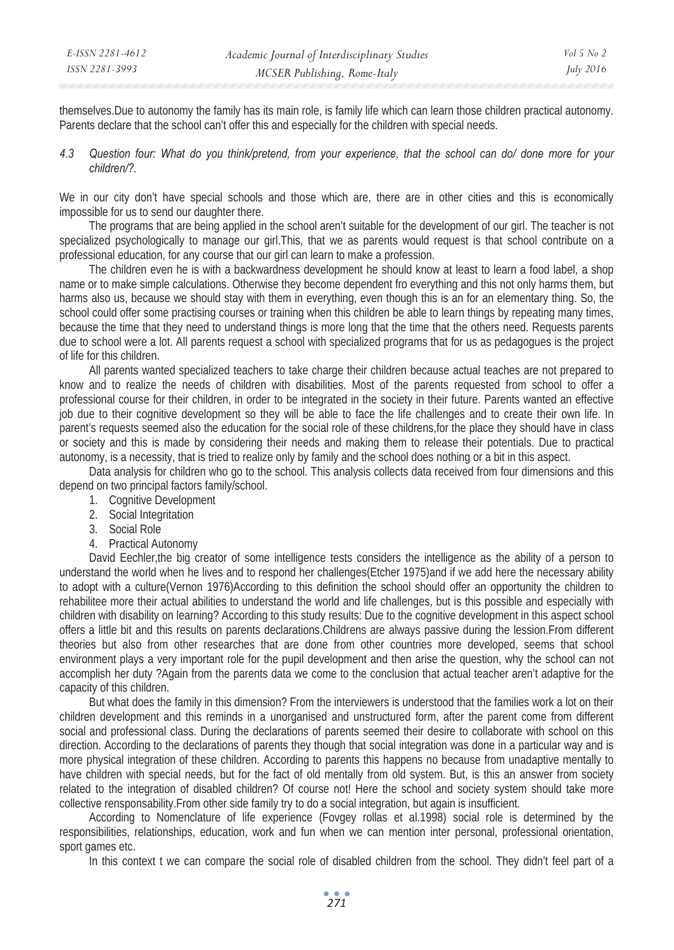themselves.Due to autonomy the family has its main role, is family life which can learn those children practical autonomy. Parents declare that the school can't offer this and especially for the children with special needs.

*4.3 Question four: What do you think/pretend, from your experience, that the school can do/ done more for your children/?.* 

We in our city don't have special schools and those which are, there are in other cities and this is economically impossible for us to send our daughter there.

The programs that are being applied in the school aren't suitable for the development of our girl. The teacher is not specialized psychologically to manage our girl.This, that we as parents would request is that school contribute on a professional education, for any course that our girl can learn to make a profession.

The children even he is with a backwardness development he should know at least to learn a food label, a shop name or to make simple calculations. Otherwise they become dependent fro everything and this not only harms them, but harms also us, because we should stay with them in everything, even though this is an for an elementary thing. So, the school could offer some practising courses or training when this children be able to learn things by repeating many times, because the time that they need to understand things is more long that the time that the others need. Requests parents due to school were a lot. All parents request a school with specialized programs that for us as pedagogues is the project of life for this children.

All parents wanted specialized teachers to take charge their children because actual teaches are not prepared to know and to realize the needs of children with disabilities. Most of the parents requested from school to offer a professional course for their children, in order to be integrated in the society in their future. Parents wanted an effective job due to their cognitive development so they will be able to face the life challenges and to create their own life. In parent's requests seemed also the education for the social role of these childrens,for the place they should have in class or society and this is made by considering their needs and making them to release their potentials. Due to practical autonomy, is a necessity, that is tried to realize only by family and the school does nothing or a bit in this aspect.

Data analysis for children who go to the school. This analysis collects data received from four dimensions and this depend on two principal factors family/school.

- 1. Cognitive Development
- 2. Social Integritation
- 3. Social Role
- 4. Practical Autonomy

David Eechler,the big creator of some intelligence tests considers the intelligence as the ability of a person to understand the world when he lives and to respond her challenges(Etcher 1975)and if we add here the necessary ability to adopt with a culture(Vernon 1976)According to this definition the school should offer an opportunity the children to rehabilitee more their actual abilities to understand the world and life challenges, but is this possible and especially with children with disability on learning? According to this study results: Due to the cognitive development in this aspect school offers a little bit and this results on parents declarations.Childrens are always passive during the lession.From different theories but also from other researches that are done from other countries more developed, seems that school environment plays a very important role for the pupil development and then arise the question, why the school can not accomplish her duty ?Again from the parents data we come to the conclusion that actual teacher aren't adaptive for the capacity of this children.

But what does the family in this dimension? From the interviewers is understood that the families work a lot on their children development and this reminds in a unorganised and unstructured form, after the parent come from different social and professional class. During the declarations of parents seemed their desire to collaborate with school on this direction. According to the declarations of parents they though that social integration was done in a particular way and is more physical integration of these children. According to parents this happens no because from unadaptive mentally to have children with special needs, but for the fact of old mentally from old system. But, is this an answer from society related to the integration of disabled children? Of course not! Here the school and society system should take more collective rensponsability.From other side family try to do a social integration, but again is insufficient.

According to Nomenclature of life experience (Fovgey rollas et al.1998) social role is determined by the responsibilities, relationships, education, work and fun when we can mention inter personal, professional orientation, sport games etc.

In this context t we can compare the social role of disabled children from the school. They didn't feel part of a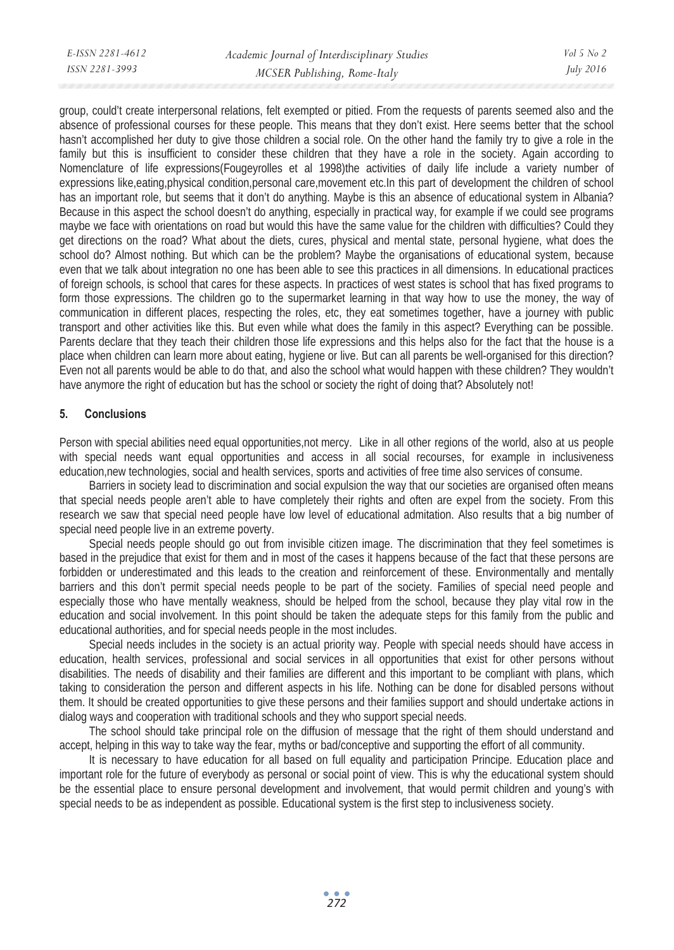| E-ISSN 2281-4612 | Academic Journal of Interdisciplinary Studies | $Vol_5$ No 2     |
|------------------|-----------------------------------------------|------------------|
| ISSN 2281-3993   | MCSER Publishing, Rome-Italy                  | <i>July 2016</i> |
|                  |                                               |                  |

group, could't create interpersonal relations, felt exempted or pitied. From the requests of parents seemed also and the absence of professional courses for these people. This means that they don't exist. Here seems better that the school hasn't accomplished her duty to give those children a social role. On the other hand the family try to give a role in the family but this is insufficient to consider these children that they have a role in the society. Again according to Nomenclature of life expressions(Fougeyrolles et al 1998)the activities of daily life include a variety number of expressions like,eating,physical condition,personal care,movement etc.In this part of development the children of school has an important role, but seems that it don't do anything. Maybe is this an absence of educational system in Albania? Because in this aspect the school doesn't do anything, especially in practical way, for example if we could see programs maybe we face with orientations on road but would this have the same value for the children with difficulties? Could they get directions on the road? What about the diets, cures, physical and mental state, personal hygiene, what does the school do? Almost nothing. But which can be the problem? Maybe the organisations of educational system, because even that we talk about integration no one has been able to see this practices in all dimensions. In educational practices of foreign schools, is school that cares for these aspects. In practices of west states is school that has fixed programs to form those expressions. The children go to the supermarket learning in that way how to use the money, the way of communication in different places, respecting the roles, etc, they eat sometimes together, have a journey with public transport and other activities like this. But even while what does the family in this aspect? Everything can be possible. Parents declare that they teach their children those life expressions and this helps also for the fact that the house is a place when children can learn more about eating, hygiene or live. But can all parents be well-organised for this direction? Even not all parents would be able to do that, and also the school what would happen with these children? They wouldn't have anymore the right of education but has the school or society the right of doing that? Absolutely not!

## **5. Conclusions**

Person with special abilities need equal opportunities,not mercy. Like in all other regions of the world, also at us people with special needs want equal opportunities and access in all social recourses, for example in inclusiveness education,new technologies, social and health services, sports and activities of free time also services of consume.

Barriers in society lead to discrimination and social expulsion the way that our societies are organised often means that special needs people aren't able to have completely their rights and often are expel from the society. From this research we saw that special need people have low level of educational admitation. Also results that a big number of special need people live in an extreme poverty.

Special needs people should go out from invisible citizen image. The discrimination that they feel sometimes is based in the prejudice that exist for them and in most of the cases it happens because of the fact that these persons are forbidden or underestimated and this leads to the creation and reinforcement of these. Environmentally and mentally barriers and this don't permit special needs people to be part of the society. Families of special need people and especially those who have mentally weakness, should be helped from the school, because they play vital row in the education and social involvement. In this point should be taken the adequate steps for this family from the public and educational authorities, and for special needs people in the most includes.

Special needs includes in the society is an actual priority way. People with special needs should have access in education, health services, professional and social services in all opportunities that exist for other persons without disabilities. The needs of disability and their families are different and this important to be compliant with plans, which taking to consideration the person and different aspects in his life. Nothing can be done for disabled persons without them. It should be created opportunities to give these persons and their families support and should undertake actions in dialog ways and cooperation with traditional schools and they who support special needs.

The school should take principal role on the diffusion of message that the right of them should understand and accept, helping in this way to take way the fear, myths or bad/conceptive and supporting the effort of all community.

It is necessary to have education for all based on full equality and participation Principe. Education place and important role for the future of everybody as personal or social point of view. This is why the educational system should be the essential place to ensure personal development and involvement, that would permit children and young's with special needs to be as independent as possible. Educational system is the first step to inclusiveness society.